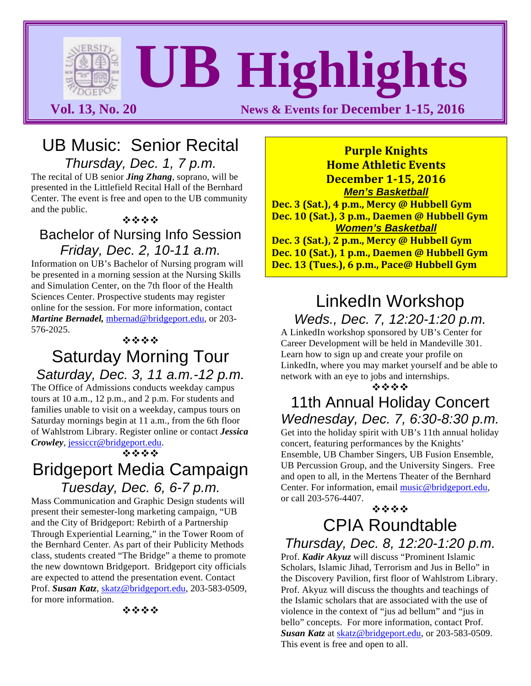**Vol. 13, No. 20 News & Events for December 1-15, 2016** 

**UB Highlights**

### UB Music: Senior Recital *Thursday, Dec. 1, 7 p.m.*

The recital of UB senior *Jing Zhang*, soprano, will be presented in the Littlefield Recital Hall of the Bernhard Center. The event is free and open to the UB community and the public.

#### \*\*\*\*

#### Bachelor of Nursing Info Session *Friday, Dec. 2, 10-11 a.m.*

Information on UB's Bachelor of Nursing program will be presented in a morning session at the Nursing Skills and Simulation Center, on the 7th floor of the Health Sciences Center. Prospective students may register online for the session. For more information, contact *Martine Bernadel,* mbernad@bridgeport.edu, or 203- 576-2025.

#### \*\*\*

## Saturday Morning Tour *Saturday, Dec. 3, 11 a.m.-12 p.m.*

The Office of Admissions conducts weekday campus tours at 10 a.m., 12 p.m., and 2 p.m. For students and families unable to visit on a weekday, campus tours on Saturday mornings begin at 11 a.m., from the 6th floor of Wahlstrom Library. Register online or contact *Jessica Crowley*, jessiccr@bridgeport.edu.

\*\*\*

# Bridgeport Media Campaign *Tuesday, Dec. 6, 6-7 p.m.*

Mass Communication and Graphic Design students will present their semester-long marketing campaign, "UB and the City of Bridgeport: Rebirth of a Partnership Through Experiential Learning," in the Tower Room of the Bernhard Center. As part of their Publicity Methods class, students created "The Bridge" a theme to promote the new downtown Bridgeport. Bridgeport city officials are expected to attend the presentation event. Contact Prof. *Susan Katz*, skatz@bridgeport.edu, 203-583-0509, for more information.

\*\*\*\*

**Purple Knights Home Athletic Events December 1-15, 2016** *Men's Basketball* **Dec. 3 (Sat.), 4 p.m., Mercy @ Hubbell Gym Dec. 10 (Sat.), 3 p.m., Daemen @ Hubbell Gym** *Women's Basketball* **Dec. 3 (Sat.), 2 p.m., Mercy @ Hubbell Gym Dec. 10 (Sat.), 1 p.m., Daemen @ Hubbell Gym** Dec. 13 (Tues.), 6 p.m., Pace@ Hubbell Gym

## LinkedIn Workshop *Weds., Dec. 7, 12:20-1:20 p.m.*

A LinkedIn workshop sponsored by UB's Center for Career Development will be held in Mandeville 301. Learn how to sign up and create your profile on LinkedIn, where you may market yourself and be able to network with an eye to jobs and internships.

\*\*\*\*

## 11th Annual Holiday Concert *Wednesday, Dec. 7, 6:30-8:30 p.m.*

Get into the holiday spirit with UB's 11th annual holiday concert, featuring performances by the Knights' Ensemble, UB Chamber Singers, UB Fusion Ensemble, UB Percussion Group, and the University Singers. Free and open to all, in the Mertens Theater of the Bernhard Center. For information, email music@bridgeport.edu, or call 203-576-4407.

## \*\*\* CPIA Roundtable

*Thursday, Dec. 8, 12:20-1:20 p.m.*

Prof. *Kadir Akyuz* will discuss "Prominent Islamic Scholars, Islamic Jihad, Terrorism and Jus in Bello" in the Discovery Pavilion, first floor of Wahlstrom Library. Prof. Akyuz will discuss the thoughts and teachings of the Islamic scholars that are associated with the use of violence in the context of "jus ad bellum" and "jus in bello" concepts. For more information, contact Prof. *Susan Katz* at skatz@bridgeport.edu, or 203-583-0509. This event is free and open to all.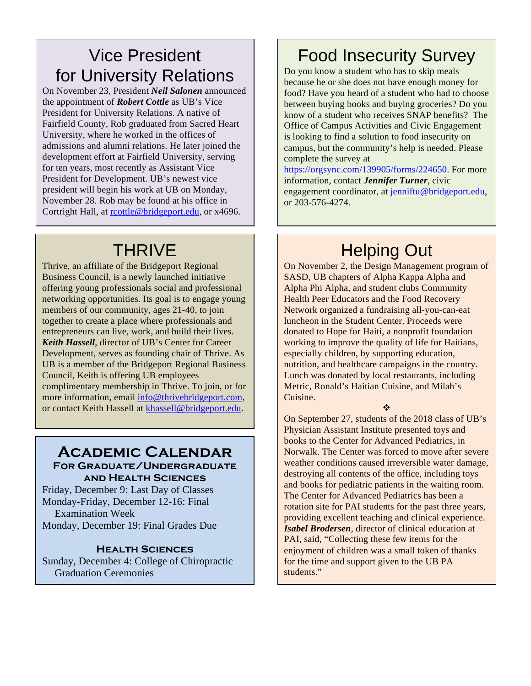# Vice President for University Relations

On November 23, President *Neil Salonen* announced the appointment of *Robert Cottle* as UB's Vice President for University Relations. A native of Fairfield County, Rob graduated from Sacred Heart University, where he worked in the offices of admissions and alumni relations. He later joined the development effort at Fairfield University, serving for ten years, most recently as Assistant Vice President for Development. UB's newest vice president will begin his work at UB on Monday, November 28. Rob may be found at his office in Cortright Hall, at rcottle@bridgeport.edu, or x4696.

# **THRIVE**

Thrive, an affiliate of the Bridgeport Regional Business Council, is a newly launched initiative offering young professionals social and professional networking opportunities. Its goal is to engage young members of our community, ages 21-40, to join together to create a place where professionals and entrepreneurs can live, work, and build their lives. *Keith Hassell*, director of UB's Center for Career Development, serves as founding chair of Thrive. As UB is a member of the Bridgeport Regional Business Council, Keith is offering UB employees complimentary membership in Thrive. To join, or for more information, email info@thrivebridgeport.com, or contact Keith Hassell at khassell@bridgeport.edu.

#### **Academic Calendar For Graduate/Undergraduate and Health Sciences**

Friday, December 9: Last Day of Classes Monday-Friday, December 12-16: Final Examination Week Monday, December 19: Final Grades Due

#### **Health Sciences**

Sunday, December 4: College of Chiropractic Graduation Ceremonies

# Food Insecurity Survey

Do you know a student who has to skip meals because he or she does not have enough money for food? Have you heard of a student who had to choose between buying books and buying groceries? Do you know of a student who receives SNAP benefits? The Office of Campus Activities and Civic Engagement is looking to find a solution to food insecurity on campus, but the community's help is needed. Please complete the survey at

https://orgsync.com/139905/forms/224650. For more information, contact *Jennifer Turner*, civic engagement coordinator, at jenniftu@bridgeport.edu, or 203-576-4274.

# **Helping Out**

On November 2, the Design Management program of SASD, UB chapters of Alpha Kappa Alpha and Alpha Phi Alpha, and student clubs Community Health Peer Educators and the Food Recovery Network organized a fundraising all-you-can-eat luncheon in the Student Center. Proceeds were donated to Hope for Haiti, a nonprofit foundation working to improve the quality of life for Haitians, especially children, by supporting education, nutrition, and healthcare campaigns in the country. Lunch was donated by local restaurants, including Metric, Ronald's Haitian Cuisine, and Milah's Cuisine.

 $\frac{1}{2}$ 

On September 27, students of the 2018 class of UB's Physician Assistant Institute presented toys and books to the Center for Advanced Pediatrics, in Norwalk. The Center was forced to move after severe weather conditions caused irreversible water damage, destroying all contents of the office, including toys and books for pediatric patients in the waiting room. The Center for Advanced Pediatrics has been a rotation site for PAI students for the past three years, providing excellent teaching and clinical experience. *Isabel Brodersen*, director of clinical education at PAI, said, "Collecting these few items for the enjoyment of children was a small token of thanks for the time and support given to the UB PA students."